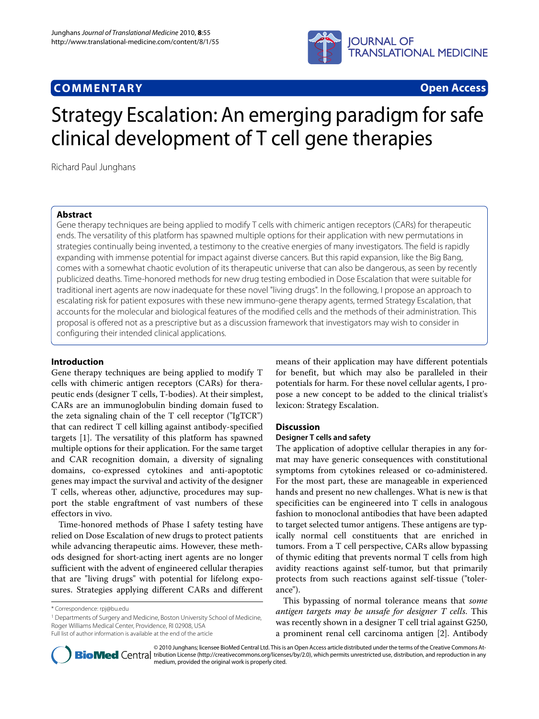

# **COMMENTARY Open Access**

# Strategy Escalation: An emerging paradigm for safe clinical development of T cell gene therapies

Richard Paul Junghans

# **Abstract**

Gene therapy techniques are being applied to modify T cells with chimeric antigen receptors (CARs) for therapeutic ends. The versatility of this platform has spawned multiple options for their application with new permutations in strategies continually being invented, a testimony to the creative energies of many investigators. The field is rapidly expanding with immense potential for impact against diverse cancers. But this rapid expansion, like the Big Bang, comes with a somewhat chaotic evolution of its therapeutic universe that can also be dangerous, as seen by recently publicized deaths. Time-honored methods for new drug testing embodied in Dose Escalation that were suitable for traditional inert agents are now inadequate for these novel "living drugs". In the following, I propose an approach to escalating risk for patient exposures with these new immuno-gene therapy agents, termed Strategy Escalation, that accounts for the molecular and biological features of the modified cells and the methods of their administration. This proposal is offered not as a prescriptive but as a discussion framework that investigators may wish to consider in configuring their intended clinical applications.

# **Introduction**

Gene therapy techniques are being applied to modify T cells with chimeric antigen receptors (CARs) for therapeutic ends (designer T cells, T-bodies). At their simplest, CARs are an immunoglobulin binding domain fused to the zeta signaling chain of the T cell receptor ("IgTCR") that can redirect T cell killing against antibody-specified targets [\[1](#page-6-0)]. The versatility of this platform has spawned multiple options for their application. For the same target and CAR recognition domain, a diversity of signaling domains, co-expressed cytokines and anti-apoptotic genes may impact the survival and activity of the designer T cells, whereas other, adjunctive, procedures may support the stable engraftment of vast numbers of these effectors in vivo.

Time-honored methods of Phase I safety testing have relied on Dose Escalation of new drugs to protect patients while advancing therapeutic aims. However, these methods designed for short-acting inert agents are no longer sufficient with the advent of engineered cellular therapies that are "living drugs" with potential for lifelong exposures. Strategies applying different CARs and different

<sup>1</sup> Departments of Surgery and Medicine, Boston University School of Medicine, Roger Williams Medical Center, Providence, RI 02908, USA

means of their application may have different potentials for benefit, but which may also be paralleled in their potentials for harm. For these novel cellular agents, I propose a new concept to be added to the clinical trialist's lexicon: Strategy Escalation.

# **Discussion**

# **Designer T cells and safety**

The application of adoptive cellular therapies in any format may have generic consequences with constitutional symptoms from cytokines released or co-administered. For the most part, these are manageable in experienced hands and present no new challenges. What is new is that specificities can be engineered into T cells in analogous fashion to monoclonal antibodies that have been adapted to target selected tumor antigens. These antigens are typically normal cell constituents that are enriched in tumors. From a T cell perspective, CARs allow bypassing of thymic editing that prevents normal T cells from high avidity reactions against self-tumor, but that primarily protects from such reactions against self-tissue ("tolerance").

This bypassing of normal tolerance means that some antigen targets may be unsafe for designer T cells. This was recently shown in a designer T cell trial against G250, a prominent renal cell carcinoma antigen [\[2](#page-6-1)]. Antibody



© 2010 Junghans; licensee BioMed Central Ltd. This is an Open Access article distributed under the terms of the Creative Commons At-**Bio Med** Central tribution License (http://creativecommons.org/licenses/by/2.0), which permits unrestricted use, distribution, and reproduction in any medium, provided the original work is properly cited.

<sup>\*</sup> Correspondence: rpj@bu.edu

Full list of author information is available at the end of the article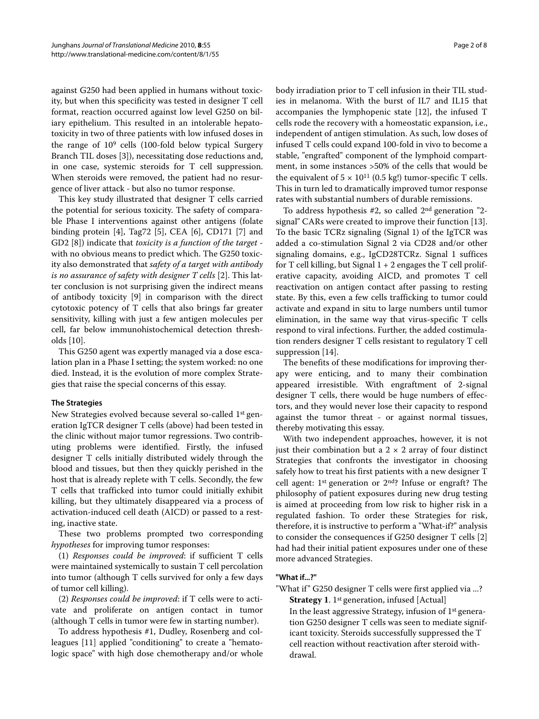against G250 had been applied in humans without toxicity, but when this specificity was tested in designer T cell format, reaction occurred against low level G250 on biliary epithelium. This resulted in an intolerable hepatotoxicity in two of three patients with low infused doses in the range of 109 cells (100-fold below typical Surgery Branch TIL doses [[3\]](#page-6-2)), necessitating dose reductions and, in one case, systemic steroids for T cell suppression. When steroids were removed, the patient had no resurgence of liver attack - but also no tumor response.

This key study illustrated that designer T cells carried the potential for serious toxicity. The safety of comparable Phase I interventions against other antigens (folate binding protein [\[4](#page-6-3)], Tag72 [[5](#page-6-4)], CEA [\[6\]](#page-6-5), CD171 [[7\]](#page-7-0) and GD2 [[8\]](#page-7-1)) indicate that toxicity is a function of the target with no obvious means to predict which. The G250 toxicity also demonstrated that safety of a target with antibody is no assurance of safety with designer T cells [\[2](#page-6-1)]. This latter conclusion is not surprising given the indirect means of antibody toxicity [[9\]](#page-7-2) in comparison with the direct cytotoxic potency of T cells that also brings far greater sensitivity, killing with just a few antigen molecules per cell, far below immunohistochemical detection thresholds [[10\]](#page-7-3).

This G250 agent was expertly managed via a dose escalation plan in a Phase I setting; the system worked: no one died. Instead, it is the evolution of more complex Strategies that raise the special concerns of this essay.

# **The Strategies**

New Strategies evolved because several so-called 1st generation IgTCR designer T cells (above) had been tested in the clinic without major tumor regressions. Two contributing problems were identified. Firstly, the infused designer T cells initially distributed widely through the blood and tissues, but then they quickly perished in the host that is already replete with T cells. Secondly, the few T cells that trafficked into tumor could initially exhibit killing, but they ultimately disappeared via a process of activation-induced cell death (AICD) or passed to a resting, inactive state.

These two problems prompted two corresponding hypotheses for improving tumor responses:

(1) Responses could be improved: if sufficient T cells were maintained systemically to sustain T cell percolation into tumor (although T cells survived for only a few days of tumor cell killing).

(2) Responses could be improved: if  $T$  cells were to activate and proliferate on antigen contact in tumor (although T cells in tumor were few in starting number).

To address hypothesis #1, Dudley, Rosenberg and colleagues [\[11](#page-7-4)] applied "conditioning" to create a "hematologic space" with high dose chemotherapy and/or whole

body irradiation prior to T cell infusion in their TIL studies in melanoma. With the burst of IL7 and IL15 that accompanies the lymphopenic state [[12\]](#page-7-5), the infused T cells rode the recovery with a homeostatic expansion, i.e., independent of antigen stimulation. As such, low doses of infused T cells could expand 100-fold in vivo to become a stable, "engrafted" component of the lymphoid compartment, in some instances >50% of the cells that would be the equivalent of  $5 \times 10^{11}$  (0.5 kg!) tumor-specific T cells. This in turn led to dramatically improved tumor response rates with substantial numbers of durable remissions.

To address hypothesis  $#2$ , so called  $2<sup>nd</sup>$  generation "2signal" CARs were created to improve their function [\[13](#page-7-6)]. To the basic TCRz signaling (Signal 1) of the IgTCR was added a co-stimulation Signal 2 via CD28 and/or other signaling domains, e.g., IgCD28TCRz. Signal 1 suffices for T cell killing, but Signal  $1 + 2$  engages the T cell proliferative capacity, avoiding AICD, and promotes T cell reactivation on antigen contact after passing to resting state. By this, even a few cells trafficking to tumor could activate and expand in situ to large numbers until tumor elimination, in the same way that virus-specific T cells respond to viral infections. Further, the added costimulation renders designer T cells resistant to regulatory T cell suppression [[14\]](#page-7-7).

The benefits of these modifications for improving therapy were enticing, and to many their combination appeared irresistible. With engraftment of 2-signal designer T cells, there would be huge numbers of effectors, and they would never lose their capacity to respond against the tumor threat - or against normal tissues, thereby motivating this essay.

With two independent approaches, however, it is not just their combination but a  $2 \times 2$  array of four distinct Strategies that confronts the investigator in choosing safely how to treat his first patients with a new designer T cell agent: 1st generation or 2nd? Infuse or engraft? The philosophy of patient exposures during new drug testing is aimed at proceeding from low risk to higher risk in a regulated fashion. To order these Strategies for risk, therefore, it is instructive to perform a "What-if?" analysis to consider the consequences if G250 designer T cells [\[2](#page-6-1)] had had their initial patient exposures under one of these more advanced Strategies.

# **"What if...?"**

- "What if" G250 designer T cells were first applied via ...? **Strategy 1**. 1<sup>st</sup> generation, infused [Actual]
	- In the least aggressive Strategy, infusion of 1st generation G250 designer T cells was seen to mediate significant toxicity. Steroids successfully suppressed the T cell reaction without reactivation after steroid withdrawal.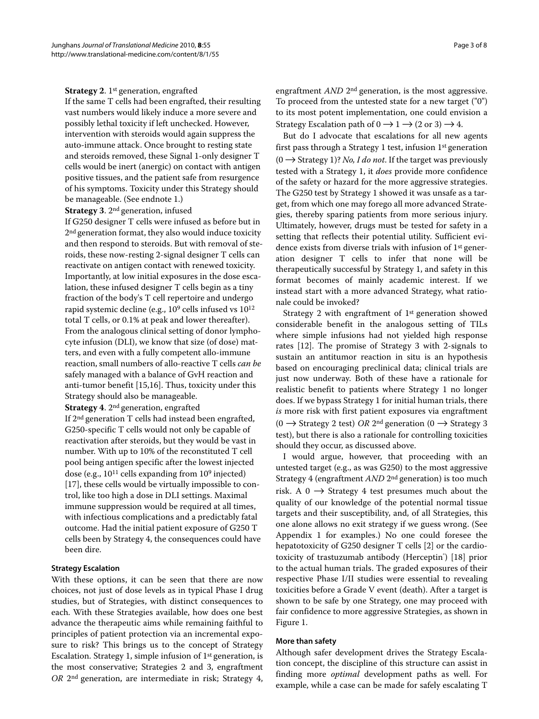#### **Strategy 2.** 1<sup>st</sup> generation, engrafted

If the same T cells had been engrafted, their resulting vast numbers would likely induce a more severe and possibly lethal toxicity if left unchecked. However, intervention with steroids would again suppress the auto-immune attack. Once brought to resting state and steroids removed, these Signal 1-only designer T cells would be inert (anergic) on contact with antigen positive tissues, and the patient safe from resurgence of his symptoms. Toxicity under this Strategy should be manageable. (See endnote 1.)

**Strategy 3**. 2nd generation, infused

If G250 designer T cells were infused as before but in 2<sup>nd</sup> generation format, they also would induce toxicity and then respond to steroids. But with removal of steroids, these now-resting 2-signal designer T cells can reactivate on antigen contact with renewed toxicity. Importantly, at low initial exposures in the dose escalation, these infused designer T cells begin as a tiny fraction of the body's T cell repertoire and undergo rapid systemic decline (e.g., 109 cells infused vs 1012 total T cells, or 0.1% at peak and lower thereafter). From the analogous clinical setting of donor lymphocyte infusion (DLI), we know that size (of dose) matters, and even with a fully competent allo-immune reaction, small numbers of allo-reactive T cells can be safely managed with a balance of GvH reaction and anti-tumor benefit [\[15,](#page-7-8)[16\]](#page-7-9). Thus, toxicity under this Strategy should also be manageable.

**Strategy 4**. 2nd generation, engrafted If 2nd generation T cells had instead been engrafted, G250-specific T cells would not only be capable of reactivation after steroids, but they would be vast in number. With up to 10% of the reconstituted T cell pool being antigen specific after the lowest injected dose (e.g.,  $10^{11}$  cells expanding from  $10^9$  injected) [[17\]](#page-7-10), these cells would be virtually impossible to control, like too high a dose in DLI settings. Maximal immune suppression would be required at all times, with infectious complications and a predictably fatal outcome. Had the initial patient exposure of G250 T cells been by Strategy 4, the consequences could have been dire.

#### **Strategy Escalation**

With these options, it can be seen that there are now choices, not just of dose levels as in typical Phase I drug studies, but of Strategies, with distinct consequences to each. With these Strategies available, how does one best advance the therapeutic aims while remaining faithful to principles of patient protection via an incremental exposure to risk? This brings us to the concept of Strategy Escalation. Strategy 1, simple infusion of 1st generation, is the most conservative; Strategies 2 and 3, engraftment OR 2nd generation, are intermediate in risk; Strategy 4,

But do I advocate that escalations for all new agents first pass through a Strategy 1 test, infusion 1st generation  $(0 \rightarrow$  Strategy 1)? No, I do not. If the target was previously tested with a Strategy 1, it does provide more confidence of the safety or hazard for the more aggressive strategies. The G250 test by Strategy 1 showed it was unsafe as a target, from which one may forego all more advanced Strategies, thereby sparing patients from more serious injury. Ultimately, however, drugs must be tested for safety in a setting that reflects their potential utility. Sufficient evidence exists from diverse trials with infusion of 1st generation designer T cells to infer that none will be therapeutically successful by Strategy 1, and safety in this format becomes of mainly academic interest. If we instead start with a more advanced Strategy, what rationale could be invoked?

Strategy 2 with engraftment of 1st generation showed considerable benefit in the analogous setting of TILs where simple infusions had not yielded high response rates [[12\]](#page-7-5). The promise of Strategy 3 with 2-signals to sustain an antitumor reaction in situ is an hypothesis based on encouraging preclinical data; clinical trials are just now underway. Both of these have a rationale for realistic benefit to patients where Strategy 1 no longer does. If we bypass Strategy 1 for initial human trials, there is more risk with first patient exposures via engraftment  $(0 \rightarrow$  Strategy 2 test) OR 2<sup>nd</sup> generation (0  $\rightarrow$  Strategy 3 test), but there is also a rationale for controlling toxicities should they occur, as discussed above.

I would argue, however, that proceeding with an untested target (e.g., as was G250) to the most aggressive Strategy 4 (engraftment AND 2nd generation) is too much risk. A 0  $\rightarrow$  Strategy 4 test presumes much about the quality of our knowledge of the potential normal tissue targets and their susceptibility, and, of all Strategies, this one alone allows no exit strategy if we guess wrong. (See Appendix 1 for examples.) No one could foresee the hepatotoxicity of G250 designer T cells [\[2](#page-6-1)] or the cardio-toxicity of trastuzumab antibody (Herceptin<sup>®</sup>) [\[18](#page-7-11)] prior to the actual human trials. The graded exposures of their respective Phase I/II studies were essential to revealing toxicities before a Grade V event (death). After a target is shown to be safe by one Strategy, one may proceed with fair confidence to more aggressive Strategies, as shown in Figure [1.](#page-3-0)

#### **More than safety**

Although safer development drives the Strategy Escalation concept, the discipline of this structure can assist in finding more optimal development paths as well. For example, while a case can be made for safely escalating T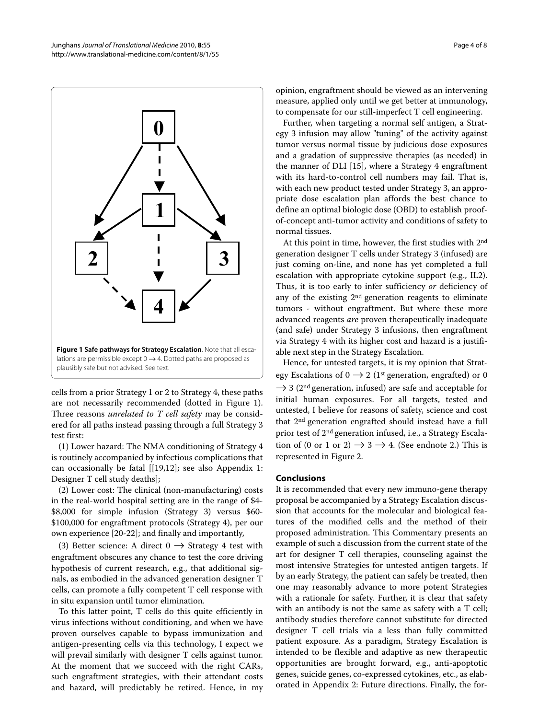<span id="page-3-0"></span>

cells from a prior Strategy 1 or 2 to Strategy 4, these paths are not necessarily recommended (dotted in Figure [1](#page-3-0)). Three reasons *unrelated to T cell safety* may be considered for all paths instead passing through a full Strategy 3 test first:

(1) Lower hazard: The NMA conditioning of Strategy 4 is routinely accompanied by infectious complications that can occasionally be fatal [[[19,](#page-7-12)[12\]](#page-7-5); see also Appendix 1: Designer T cell study deaths];

(2) Lower cost: The clinical (non-manufacturing) costs in the real-world hospital setting are in the range of \$4- \$8,000 for simple infusion (Strategy 3) versus \$60- \$100,000 for engraftment protocols (Strategy 4), per our own experience [\[20-](#page-7-13)[22](#page-7-14)]; and finally and importantly,

(3) Better science: A direct  $0 \rightarrow$  Strategy 4 test with engraftment obscures any chance to test the core driving hypothesis of current research, e.g., that additional signals, as embodied in the advanced generation designer T cells, can promote a fully competent T cell response with in situ expansion until tumor elimination.

To this latter point, T cells do this quite efficiently in virus infections without conditioning, and when we have proven ourselves capable to bypass immunization and antigen-presenting cells via this technology, I expect we will prevail similarly with designer T cells against tumor. At the moment that we succeed with the right CARs, such engraftment strategies, with their attendant costs and hazard, will predictably be retired. Hence, in my

opinion, engraftment should be viewed as an intervening measure, applied only until we get better at immunology, to compensate for our still-imperfect T cell engineering.

Further, when targeting a normal self antigen, a Strategy 3 infusion may allow "tuning" of the activity against tumor versus normal tissue by judicious dose exposures and a gradation of suppressive therapies (as needed) in the manner of DLI [\[15](#page-7-8)], where a Strategy 4 engraftment with its hard-to-control cell numbers may fail. That is, with each new product tested under Strategy 3, an appropriate dose escalation plan affords the best chance to define an optimal biologic dose (OBD) to establish proofof-concept anti-tumor activity and conditions of safety to normal tissues.

At this point in time, however, the first studies with 2nd generation designer T cells under Strategy 3 (infused) are just coming on-line, and none has yet completed a full escalation with appropriate cytokine support (e.g., IL2). Thus, it is too early to infer sufficiency or deficiency of any of the existing 2nd generation reagents to eliminate tumors - without engraftment. But where these more advanced reagents are proven therapeutically inadequate (and safe) under Strategy 3 infusions, then engraftment via Strategy 4 with its higher cost and hazard is a justifiable next step in the Strategy Escalation.

Hence, for untested targets, it is my opinion that Strategy Escalations of  $0 \rightarrow 2$  (1<sup>st</sup> generation, engrafted) or 0  $\rightarrow$  3 (2<sup>nd</sup> generation, infused) are safe and acceptable for initial human exposures. For all targets, tested and untested, I believe for reasons of safety, science and cost that 2nd generation engrafted should instead have a full prior test of 2nd generation infused, i.e., a Strategy Escalation of (0 or 1 or 2)  $\rightarrow$  3  $\rightarrow$  4. (See endnote 2.) This is represented in Figure [2.](#page-4-0)

#### **Conclusions**

It is recommended that every new immuno-gene therapy proposal be accompanied by a Strategy Escalation discussion that accounts for the molecular and biological features of the modified cells and the method of their proposed administration. This Commentary presents an example of such a discussion from the current state of the art for designer T cell therapies, counseling against the most intensive Strategies for untested antigen targets. If by an early Strategy, the patient can safely be treated, then one may reasonably advance to more potent Strategies with a rationale for safety. Further, it is clear that safety with an antibody is not the same as safety with a T cell; antibody studies therefore cannot substitute for directed designer T cell trials via a less than fully committed patient exposure. As a paradigm, Strategy Escalation is intended to be flexible and adaptive as new therapeutic opportunities are brought forward, e.g., anti-apoptotic genes, suicide genes, co-expressed cytokines, etc., as elaborated in Appendix 2: Future directions. Finally, the for-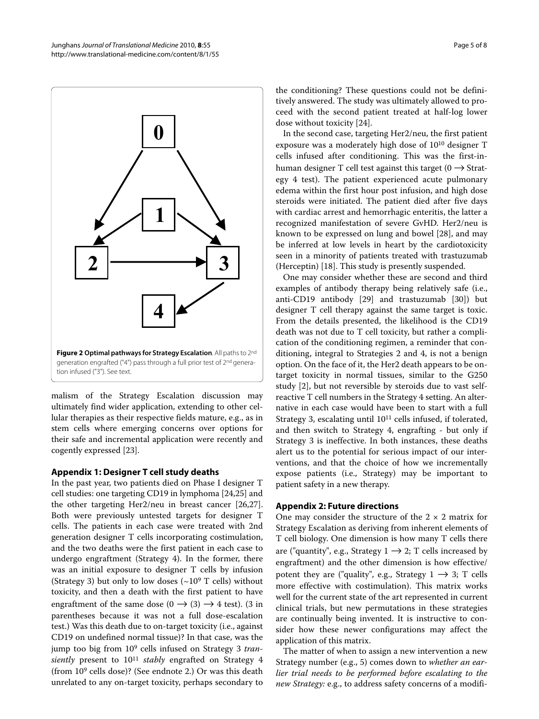<span id="page-4-0"></span>

malism of the Strategy Escalation discussion may ultimately find wider application, extending to other cellular therapies as their respective fields mature, e.g., as in stem cells where emerging concerns over options for their safe and incremental application were recently and cogently expressed [[23\]](#page-7-15).

#### **Appendix 1: Designer T cell study deaths**

In the past year, two patients died on Phase I designer T cell studies: one targeting CD19 in lymphoma [[24,](#page-7-16)[25\]](#page-7-17) and the other targeting Her2/neu in breast cancer [\[26](#page-7-18)[,27](#page-7-19)]. Both were previously untested targets for designer T cells. The patients in each case were treated with 2nd generation designer T cells incorporating costimulation, and the two deaths were the first patient in each case to undergo engraftment (Strategy 4). In the former, there was an initial exposure to designer T cells by infusion (Strategy 3) but only to low doses  $({\sim}10^9$  T cells) without toxicity, and then a death with the first patient to have engraftment of the same dose  $(0 \rightarrow (3) \rightarrow 4$  test). (3 in parentheses because it was not a full dose-escalation test.) Was this death due to on-target toxicity (i.e., against CD19 on undefined normal tissue)? In that case, was the jump too big from 10<sup>9</sup> cells infused on Strategy 3 transiently present to  $10^{11}$  stably engrafted on Strategy 4 (from 109 cells dose)? (See endnote 2.) Or was this death unrelated to any on-target toxicity, perhaps secondary to

the conditioning? These questions could not be definitively answered. The study was ultimately allowed to proceed with the second patient treated at half-log lower dose without toxicity [\[24\]](#page-7-16).

In the second case, targeting Her2/neu, the first patient exposure was a moderately high dose of 1010 designer T cells infused after conditioning. This was the first-inhuman designer T cell test against this target ( $0 \rightarrow$  Strategy 4 test). The patient experienced acute pulmonary edema within the first hour post infusion, and high dose steroids were initiated. The patient died after five days with cardiac arrest and hemorrhagic enteritis, the latter a recognized manifestation of severe GvHD. Her2/neu is known to be expressed on lung and bowel [\[28](#page-7-20)], and may be inferred at low levels in heart by the cardiotoxicity seen in a minority of patients treated with trastuzumab (Herceptin) [[18\]](#page-7-11). This study is presently suspended.

One may consider whether these are second and third examples of antibody therapy being relatively safe (i.e., anti-CD19 antibody [\[29\]](#page-7-21) and trastuzumab [\[30](#page-7-22)]) but designer T cell therapy against the same target is toxic. From the details presented, the likelihood is the CD19 death was not due to T cell toxicity, but rather a complication of the conditioning regimen, a reminder that conditioning, integral to Strategies 2 and 4, is not a benign option. On the face of it, the Her2 death appears to be ontarget toxicity in normal tissues, similar to the G250 study [\[2](#page-6-1)], but not reversible by steroids due to vast selfreactive T cell numbers in the Strategy 4 setting. An alternative in each case would have been to start with a full Strategy 3, escalating until 10<sup>11</sup> cells infused, if tolerated, and then switch to Strategy 4, engrafting - but only if Strategy 3 is ineffective. In both instances, these deaths alert us to the potential for serious impact of our interventions, and that the choice of how we incrementally expose patients (i.e., Strategy) may be important to patient safety in a new therapy.

#### **Appendix 2: Future directions**

One may consider the structure of the  $2 \times 2$  matrix for Strategy Escalation as deriving from inherent elements of T cell biology. One dimension is how many T cells there are ("quantity", e.g., Strategy  $1 \rightarrow 2$ ; T cells increased by engraftment) and the other dimension is how effective/ potent they are ("quality", e.g., Strategy  $1 \rightarrow 3$ ; T cells more effective with costimulation). This matrix works well for the current state of the art represented in current clinical trials, but new permutations in these strategies are continually being invented. It is instructive to consider how these newer configurations may affect the application of this matrix.

The matter of when to assign a new intervention a new Strategy number (e.g., 5) comes down to whether an earlier trial needs to be performed before escalating to the new Strategy: e.g., to address safety concerns of a modifi-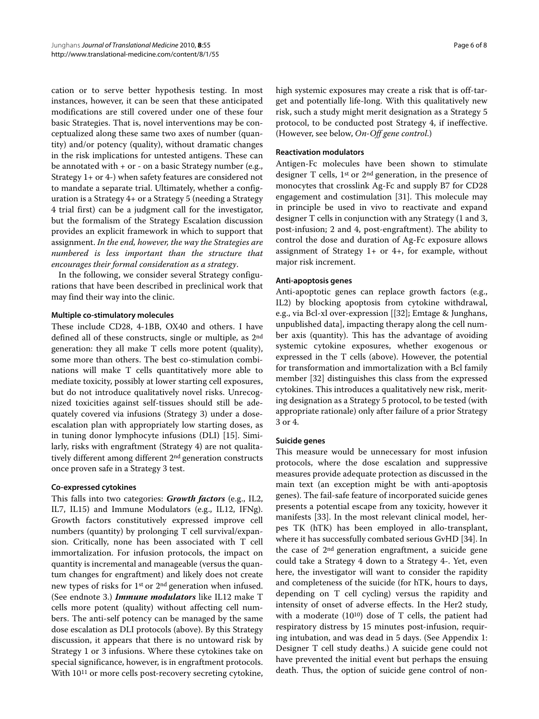cation or to serve better hypothesis testing. In most instances, however, it can be seen that these anticipated modifications are still covered under one of these four basic Strategies. That is, novel interventions may be conceptualized along these same two axes of number (quantity) and/or potency (quality), without dramatic changes in the risk implications for untested antigens. These can be annotated with + or - on a basic Strategy number (e.g., Strategy 1+ or 4-) when safety features are considered not to mandate a separate trial. Ultimately, whether a configuration is a Strategy 4+ or a Strategy 5 (needing a Strategy 4 trial first) can be a judgment call for the investigator, but the formalism of the Strategy Escalation discussion provides an explicit framework in which to support that assignment. In the end, however, the way the Strategies are numbered is less important than the structure that encourages their formal consideration as a strategy.

In the following, we consider several Strategy configurations that have been described in preclinical work that may find their way into the clinic.

#### **Multiple co-stimulatory molecules**

These include CD28, 4-1BB, OX40 and others. I have defined all of these constructs, single or multiple, as 2nd generation: they all make T cells more potent (quality), some more than others. The best co-stimulation combinations will make T cells quantitatively more able to mediate toxicity, possibly at lower starting cell exposures, but do not introduce qualitatively novel risks. Unrecognized toxicities against self-tissues should still be adequately covered via infusions (Strategy 3) under a doseescalation plan with appropriately low starting doses, as in tuning donor lymphocyte infusions (DLI) [[15](#page-7-8)]. Similarly, risks with engraftment (Strategy 4) are not qualitatively different among different 2nd generation constructs once proven safe in a Strategy 3 test.

#### **Co-expressed cytokines**

This falls into two categories: *Growth factors* (e.g., IL2, IL7, IL15) and Immune Modulators (e.g., IL12, IFNg). Growth factors constitutively expressed improve cell numbers (quantity) by prolonging T cell survival/expansion. Critically, none has been associated with T cell immortalization. For infusion protocols, the impact on quantity is incremental and manageable (versus the quantum changes for engraftment) and likely does not create new types of risks for 1st or 2nd generation when infused. (See endnote 3.) *Immune modulators* like IL12 make T cells more potent (quality) without affecting cell numbers. The anti-self potency can be managed by the same dose escalation as DLI protocols (above). By this Strategy discussion, it appears that there is no untoward risk by Strategy 1 or 3 infusions. Where these cytokines take on special significance, however, is in engraftment protocols. With 1011 or more cells post-recovery secreting cytokine, high systemic exposures may create a risk that is off-target and potentially life-long. With this qualitatively new risk, such a study might merit designation as a Strategy 5 protocol, to be conducted post Strategy 4, if ineffective. (However, see below, On-Off gene control.)

#### **Reactivation modulators**

Antigen-Fc molecules have been shown to stimulate designer T cells, 1st or 2nd generation, in the presence of monocytes that crosslink Ag-Fc and supply B7 for CD28 engagement and costimulation [[31\]](#page-7-23). This molecule may in principle be used in vivo to reactivate and expand designer T cells in conjunction with any Strategy (1 and 3, post-infusion; 2 and 4, post-engraftment). The ability to control the dose and duration of Ag-Fc exposure allows assignment of Strategy  $1+$  or  $4+$ , for example, without major risk increment.

#### **Anti-apoptosis genes**

Anti-apoptotic genes can replace growth factors (e.g., IL2) by blocking apoptosis from cytokine withdrawal, e.g., via Bcl-xl over-expression [[[32\]](#page-7-24); Emtage & Junghans, unpublished data], impacting therapy along the cell number axis (quantity). This has the advantage of avoiding systemic cytokine exposures, whether exogenous or expressed in the T cells (above). However, the potential for transformation and immortalization with a Bcl family member [\[32](#page-7-24)] distinguishes this class from the expressed cytokines. This introduces a qualitatively new risk, meriting designation as a Strategy 5 protocol, to be tested (with appropriate rationale) only after failure of a prior Strategy 3 or 4.

#### **Suicide genes**

This measure would be unnecessary for most infusion protocols, where the dose escalation and suppressive measures provide adequate protection as discussed in the main text (an exception might be with anti-apoptosis genes). The fail-safe feature of incorporated suicide genes presents a potential escape from any toxicity, however it manifests [\[33](#page-7-25)]. In the most relevant clinical model, herpes TK (hTK) has been employed in allo-transplant, where it has successfully combated serious GvHD [\[34](#page-7-26)]. In the case of 2nd generation engraftment, a suicide gene could take a Strategy 4 down to a Strategy 4-. Yet, even here, the investigator will want to consider the rapidity and completeness of the suicide (for hTK, hours to days, depending on T cell cycling) versus the rapidity and intensity of onset of adverse effects. In the Her2 study, with a moderate  $(10^{10})$  dose of T cells, the patient had respiratory distress by 15 minutes post-infusion, requiring intubation, and was dead in 5 days. (See Appendix 1: Designer T cell study deaths.) A suicide gene could not have prevented the initial event but perhaps the ensuing death. Thus, the option of suicide gene control of non-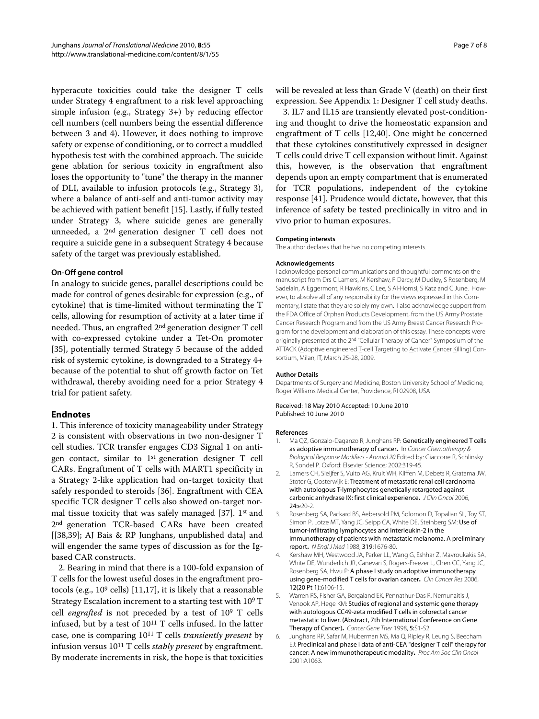hyperacute toxicities could take the designer T cells under Strategy 4 engraftment to a risk level approaching simple infusion (e.g., Strategy 3+) by reducing effector cell numbers (cell numbers being the essential difference between 3 and 4). However, it does nothing to improve safety or expense of conditioning, or to correct a muddled hypothesis test with the combined approach. The suicide gene ablation for serious toxicity in engraftment also loses the opportunity to "tune" the therapy in the manner of DLI, available to infusion protocols (e.g., Strategy 3), where a balance of anti-self and anti-tumor activity may be achieved with patient benefit [\[15\]](#page-7-8). Lastly, if fully tested under Strategy 3, where suicide genes are generally unneeded, a 2nd generation designer T cell does not require a suicide gene in a subsequent Strategy 4 because safety of the target was previously established.

#### **On-Off gene control**

In analogy to suicide genes, parallel descriptions could be made for control of genes desirable for expression (e.g., of cytokine) that is time-limited without terminating the T cells, allowing for resumption of activity at a later time if needed. Thus, an engrafted 2nd generation designer T cell with co-expressed cytokine under a Tet-On promoter [[35\]](#page-7-27), potentially termed Strategy 5 because of the added risk of systemic cytokine, is downgraded to a Strategy 4+ because of the potential to shut off growth factor on Tet withdrawal, thereby avoiding need for a prior Strategy 4 trial for patient safety.

# **Endnotes**

1. This inference of toxicity manageability under Strategy 2 is consistent with observations in two non-designer T cell studies. TCR transfer engages CD3 Signal 1 on antigen contact, similar to 1st generation designer T cell CARs. Engraftment of T cells with MART1 specificity in a Strategy 2-like application had on-target toxicity that safely responded to steroids [\[36](#page-7-28)]. Engraftment with CEA specific TCR designer T cells also showed on-target normal tissue toxicity that was safely managed [\[37](#page-7-29)]. 1st and 2nd generation TCR-based CARs have been created [[\[38](#page-7-30)[,39\]](#page-7-31); AJ Bais & RP Junghans, unpublished data] and will engender the same types of discussion as for the Igbased CAR constructs.

2. Bearing in mind that there is a 100-fold expansion of T cells for the lowest useful doses in the engraftment protocols (e.g., 109 cells) [\[11](#page-7-4),[17](#page-7-10)], it is likely that a reasonable Strategy Escalation increment to a starting test with 109 T cell engrafted is not preceded by a test of 109 T cells infused, but by a test of 1011 T cells infused. In the latter case, one is comparing  $10^{11}$  T cells *transiently present* by infusion versus 1011 T cells stably present by engraftment. By moderate increments in risk, the hope is that toxicities will be revealed at less than Grade V (death) on their first expression. See Appendix 1: Designer T cell study deaths.

3. IL7 and IL15 are transiently elevated post-conditioning and thought to drive the homeostatic expansion and engraftment of T cells [[12,](#page-7-5)[40\]](#page-7-32). One might be concerned that these cytokines constitutively expressed in designer T cells could drive T cell expansion without limit. Against this, however, is the observation that engraftment depends upon an empty compartment that is enumerated for TCR populations, independent of the cytokine response [[41\]](#page-7-33). Prudence would dictate, however, that this inference of safety be tested preclinically in vitro and in vivo prior to human exposures.

#### **Competing interests**

The author declares that he has no competing interests.

#### **Acknowledgements**

I acknowledge personal communications and thoughtful comments on the manuscript from Drs C Lamers, M Kershaw, P Darcy, M Dudley, S Rosenberg, M Sadelain, A Eggermont, R Hawkins, C Lee, S Al-Homsi, S Katz and C June. However, to absolve all of any responsibility for the views expressed in this Commentary, I state that they are solely my own. I also acknowledge support from the FDA Office of Orphan Products Development, from the US Army Prostate Cancer Research Program and from the US Army Breast Cancer Research Program for the development and elaboration of this essay. These concepts were originally presented at the 2nd "Cellular Therapy of Cancer" Symposium of the ATTACK (Adoptive engineered T-cell Targeting to Activate Cancer Killing) Consortium, Milan, IT, March 25-28, 2009.

#### **Author Details**

Departments of Surgery and Medicine, Boston University School of Medicine, Roger Williams Medical Center, Providence, RI 02908, USA

#### Received: 18 May 2010 Accepted: 10 June 2010 Published: 10 June 2010

#### **References**

- <span id="page-6-0"></span>1. Ma OZ, Gonzalo-Daganzo R, Junghans RP: Genetically engineered T cells as adoptive immunotherapy of cancer**.** In Cancer Chemotherapy & Biological Response Modifiers - Annual 20 Edited by: Giaccone R, Schlinsky R, Sondel P. Oxford: Elsevier Science; 2002:319-45.
- <span id="page-6-1"></span>2. Lamers CH, Sleijfer S, Vulto AG, Kruit WH, Kliffen M, Debets R, Gratama JW, Stoter G, Oosterwijk E: Treatment of metastatic renal cell carcinoma with autologous T-lymphocytes genetically retargeted against carbonic anhydrase IX: first clinical experience**[.](http://www.ncbi.nlm.nih.gov/entrez/query.fcgi?cmd=Retrieve&db=PubMed&dopt=Abstract&list_uids=16648493)** J Clin Oncol 2006, 24:e20-2.
- <span id="page-6-2"></span>3. Rosenberg SA, Packard BS, Aebersold PM, Solomon D, Topalian SL, Toy ST, Simon P, Lotze MT, Yang JC, Seipp CA, White DE, Steinberg SM: Use of tumor-infiltrating lymphocytes and interleukin-2 in the immunotherapy of patients with metastatic melanoma. A preliminary report**[.](http://www.ncbi.nlm.nih.gov/entrez/query.fcgi?cmd=Retrieve&db=PubMed&dopt=Abstract&list_uids=3264384)** N Engl J Med 1988, 319:1676-80.
- <span id="page-6-3"></span>4. Kershaw MH, Westwood JA, Parker LL, Wang G, Eshhar Z, Mavroukakis SA, White DE, Wunderlich JR, Canevari S, Rogers-Freezer L, Chen CC, Yang JC, Rosenberg SA, Hwu P: A phase I study on adoptive immunotherapy using gene-modified T cells for ovarian cancer**.** Clin Cancer Res 2006, 12(20 Pt 1):6106-15.
- <span id="page-6-4"></span>5. Warren RS, Fisher GA, Bergaland EK, Pennathur-Das R, Nemunaitis J, Venook AP, Hege KM: Studies of regional and systemic gene therapy with autologous CC49-zeta modified T cells in colorectal cancer metastatic to liver. (Abstract, 7th International Conference on Gene Therapy of Cancer)**.** Cancer Gene Ther 1998, 5:S1-S2.
- <span id="page-6-5"></span>6. Junghans RP, Safar M, Huberman MS, Ma Q, Ripley R, Leung S, Beecham EJ: Preclinical and phase I data of anti-CEA "designer T cell" therapy for cancer: A new immunotherapeutic modality**.** Proc Am Soc Clin Oncol 2001:A1063.